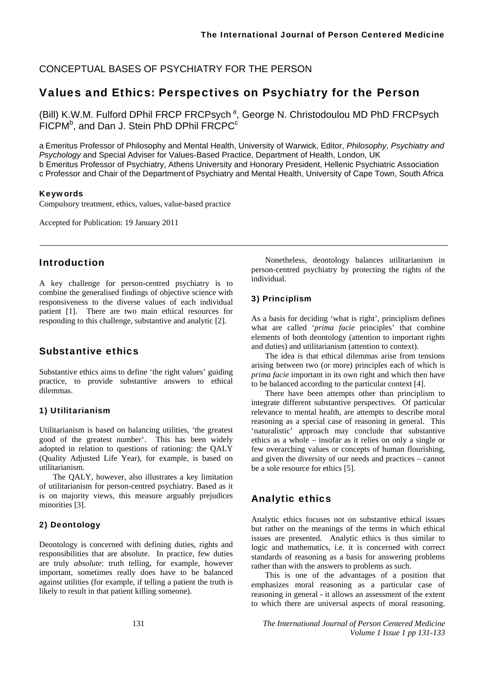CONCEPTUAL BASES OF PSYCHIATRY FOR THE PERSON

## Values and Ethics: Perspectives on Psychiatry for the Person

(Bill) K.W.M. Fulford DPhil FRCP FRCPsych<sup>a</sup>, George N. Christodoulou MD PhD FRCPsych  $F$ ICPM<sup>b</sup>, and Dan J. Stein PhD DPhil FRCPC $c$ 

a Emeritus Professor of Philosophy and Mental Health, University of Warwick, Editor, *Philosophy, Psychiatry and Psychology* and Special Adviser for Values-Based Practice, Department of Health, London, UK b Emeritus Professor of Psychiatry, Athens University and Honorary President, Hellenic Psychiatric Association c Professor and Chair of the Department of Psychiatry and Mental Health, University of Cape Town, South Africa

#### Keywords

Compulsory treatment, ethics, values, value-based practice

Accepted for Publication: 19 January 2011

## Introduction

A key challenge for person-centred psychiatry is to combine the generalised findings of objective science with responsiveness to the diverse values of each individual patient [1]. There are two main ethical resources for responding to this challenge, substantive and analytic [2].

## Substantive ethics

Substantive ethics aims to define 'the right values' guiding practice, to provide substantive answers to ethical dilemmas.

#### 1) Utilitarianism

Utilitarianism is based on balancing utilities, 'the greatest good of the greatest number'. This has been widely adopted in relation to questions of rationing: the QALY (Quality Adjusted Life Year), for example, is based on utilitarianism.

The QALY, however, also illustrates a key limitation of utilitarianism for person-centred psychiatry. Based as it is on majority views, this measure arguably prejudices minorities [3].

#### 2) Deontology

Deontology is concerned with defining duties, rights and responsibilities that are absolute. In practice, few duties are truly *absolute*: truth telling, for example, however important, sometimes really does have to be balanced against utilities (for example, if telling a patient the truth is likely to result in that patient killing someone).

Nonetheless, deontology balances utilitarianism in person-centred psychiatry by protecting the rights of the individual.

#### 3) Principlism

As a basis for deciding 'what is right', principlism defines what are called '*prima facie* principles' that combine elements of both deontology (attention to important rights and duties) and utilitarianism (attention to context).

The idea is that ethical dilemmas arise from tensions arising between two (or more) principles each of which is *prima facie* important in its own right and which then have to be balanced according to the particular context [4].

There have been attempts other than principlism to integrate different substantive perspectives. Of particular relevance to mental health, are attempts to describe moral reasoning as a special case of reasoning in general. This 'naturalistic' approach may conclude that substantive ethics as a whole – insofar as it relies on only a single or few overarching values or concepts of human flourishing, and given the diversity of our needs and practices – cannot be a sole resource for ethics [5].

## Analytic ethics

Analytic ethics focuses not on substantive ethical issues but rather on the meanings of the terms in which ethical issues are presented. Analytic ethics is thus similar to logic and mathematics, i.e. it is concerned with correct standards of reasoning as a basis for answering problems rather than with the answers to problems as such.

This is one of the advantages of a position that emphasizes moral reasoning as a particular case of reasoning in general - it allows an assessment of the extent to which there are universal aspects of moral reasoning.

131 *The International Journal of Person Centered Medicine Volume 1 Issue 1 pp 131-133*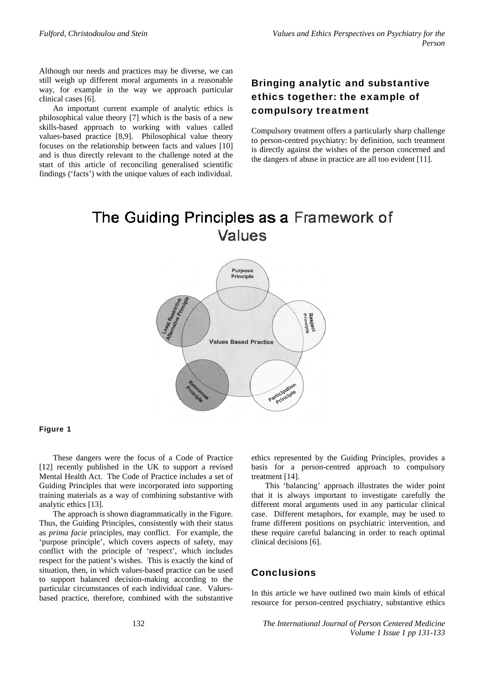Although our needs and practices may be diverse, we can still weigh up different moral arguments in a reasonable way, for example in the way we approach particular clinical cases [6].

An important current example of analytic ethics is philosophical value theory [7] which is the basis of a new skills-based approach to working with values called values-based practice [8,9]. Philosophical value theory focuses on the relationship between facts and values [10] and is thus directly relevant to the challenge noted at the start of this article of reconciling generalised scientific findings ('facts') with the unique values of each individual.

# **Bringing analytic and substantive** ethics together: the example of compulsory treatment

Compulsory treatment offers a particularly sharp challenge to person-centred psychiatry: by definition, such treatment is directly against the wishes of the person concerned and the dangers of abuse in practice are all too evident [11].

# The Guiding Principles as a Framework of Values



#### Figure 1

These dangers were the focus of a Code of Practice [12] recently published in the UK to support a revised Mental Health Act. The Code of Practice includes a set of Guiding Principles that were incorporated into supporting training materials as a way of combining substantive with analytic ethics [13].

The approach is shown diagrammatically in the Figure. Thus, the Guiding Principles, consistently with their status as *prima facie* principles, may conflict. For example, the 'purpose principle', which covers aspects of safety, may conflict with the principle of 'respect', which includes respect for the patient's wishes. This is exactly the kind of situation, then, in which values-based practice can be used to support balanced decision-making according to the particular circumstances of each individual case. Valuesbased practice, therefore, combined with the substantive ethics represented by the Guiding Principles, provides a basis for a person-centred approach to compulsory treatment [14].

This 'balancing' approach illustrates the wider point that it is always important to investigate carefully the different moral arguments used in any particular clinical case. Different metaphors, for example, may be used to frame different positions on psychiatric intervention, and these require careful balancing in order to reach optimal clinical decisions [6].

## **Conclusions**

In this article we have outlined two main kinds of ethical resource for person-centred psychiatry, substantive ethics

The International Journal of Person Centered Medicine Volume 1 Issue 1 pp 131-133